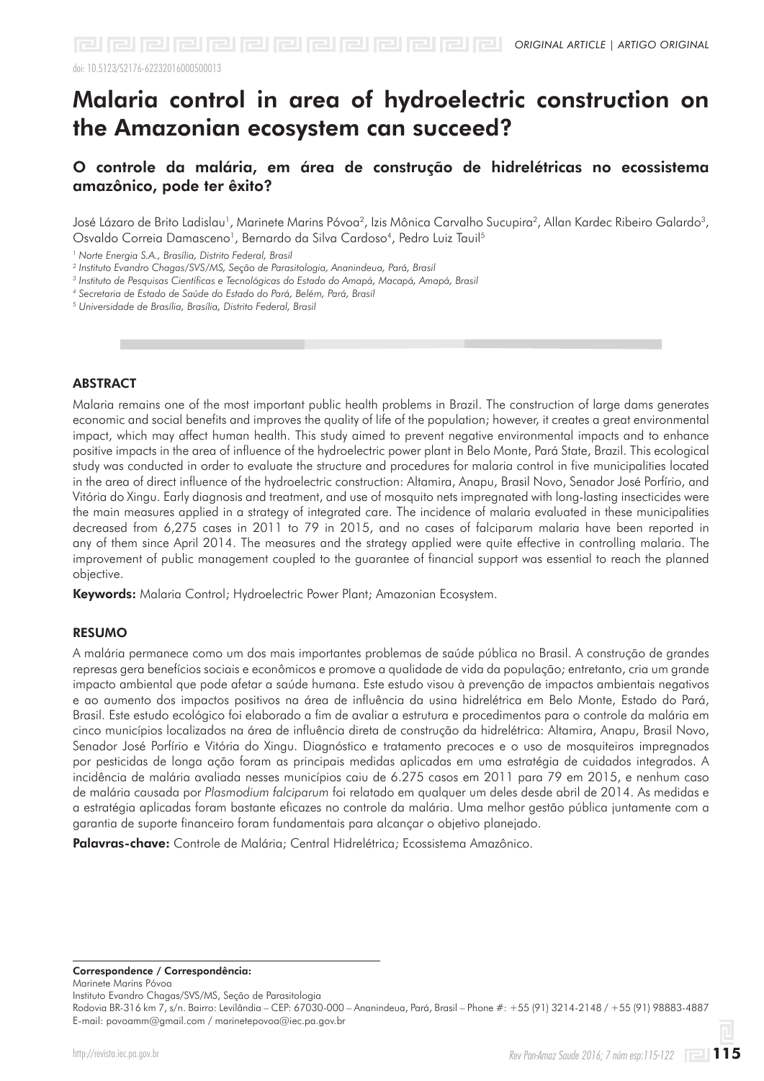doi: 10.5123/S2176-62232016000500013

# Malaria control in area of hydroelectric construction on the Amazonian ecosystem can succeed?

## O controle da malária, em área de construção de hidrelétricas no ecossistema amazônico, pode ter êxito?

José Lázaro de Brito Ladislau<sup>1</sup>, Marinete Marins Póvoa<sup>2</sup>, Izis Mônica Carvalho Sucupira<sup>2</sup>, Allan Kardec Ribeiro Galardo<sup>3</sup>, Osvaldo Correia Damasceno<sup>1</sup>, Bernardo da Silva Cardoso<sup>4</sup>, Pedro Luiz Tauil<sup>5</sup>

*1 Norte Energia S.A., Brasília, Distrito Federal, Brasil*

<sup>2</sup> Instituto Evandro Chagas/SVS/MS, Seção de Parasitologia, Ananindeua, Pará, Brasil

*3 Instituto de Pesquisas Científicas e Tecnológicas do Estado do Amapá, Macapá, Amapá, Brasil*

*4 Secretaria de Estado de Saúde do Estado do Pará, Belém, Pará, Brasil*

*5 Universidade de Brasília, Brasília, Distrito Federal, Brasil*

### **ABSTRACT**

Malaria remains one of the most important public health problems in Brazil. The construction of large dams generates economic and social benefits and improves the quality of life of the population; however, it creates a great environmental impact, which may affect human health. This study aimed to prevent negative environmental impacts and to enhance positive impacts in the area of influence of the hydroelectric power plant in Belo Monte, Pará State, Brazil. This ecological study was conducted in order to evaluate the structure and procedures for malaria control in five municipalities located in the area of direct influence of the hydroelectric construction: Altamira, Anapu, Brasil Novo, Senador José Porfírio, and Vitória do Xingu. Early diagnosis and treatment, and use of mosquito nets impregnated with long-lasting insecticides were the main measures applied in a strategy of integrated care. The incidence of malaria evaluated in these municipalities decreased from 6,275 cases in 2011 to 79 in 2015, and no cases of falciparum malaria have been reported in any of them since April 2014. The measures and the strategy applied were quite effective in controlling malaria. The improvement of public management coupled to the guarantee of financial support was essential to reach the planned objective.

Keywords: Malaria Control; Hydroelectric Power Plant; Amazonian Ecosystem.

#### RESUMO

A malária permanece como um dos mais importantes problemas de saúde pública no Brasil. A construção de grandes represas gera benefícios sociais e econômicos e promove a qualidade de vida da população; entretanto, cria um grande impacto ambiental que pode afetar a saúde humana. Este estudo visou à prevenção de impactos ambientais negativos e ao aumento dos impactos positivos na área de influência da usina hidrelétrica em Belo Monte, Estado do Pará, Brasil. Este estudo ecológico foi elaborado a fim de avaliar a estrutura e procedimentos para o controle da malária em cinco municípios localizados na área de influência direta de construção da hidrelétrica: Altamira, Anapu, Brasil Novo, Senador José Porfírio e Vitória do Xingu. Diagnóstico e tratamento precoces e o uso de mosquiteiros impregnados por pesticidas de longa ação foram as principais medidas aplicadas em uma estratégia de cuidados integrados. A incidência de malária avaliada nesses municípios caiu de 6.275 casos em 2011 para 79 em 2015, e nenhum caso de malária causada por *Plasmodium falciparum* foi relatado em qualquer um deles desde abril de 2014. As medidas e a estratégia aplicadas foram bastante eficazes no controle da malária. Uma melhor gestão pública juntamente com a garantia de suporte financeiro foram fundamentais para alcançar o objetivo planejado.

Palavras-chave: Controle de Malária; Central Hidrelétrica; Ecossistema Amazônico.

Marinete Marins Póvoa

Instituto Evandro Chagas/SVS/MS, Seção de Parasitologia

Rodovia BR-316 km 7, s/n. Bairro: Levilândia – CEP: 67030-000 – Ananindeua, Pará, Brasil – Phone #: +55 (91) 3214-2148 / +55 (91) 98883-4887 E-mail: povoamm@gmail.com / marinetepovoa@iec.pa.gov.br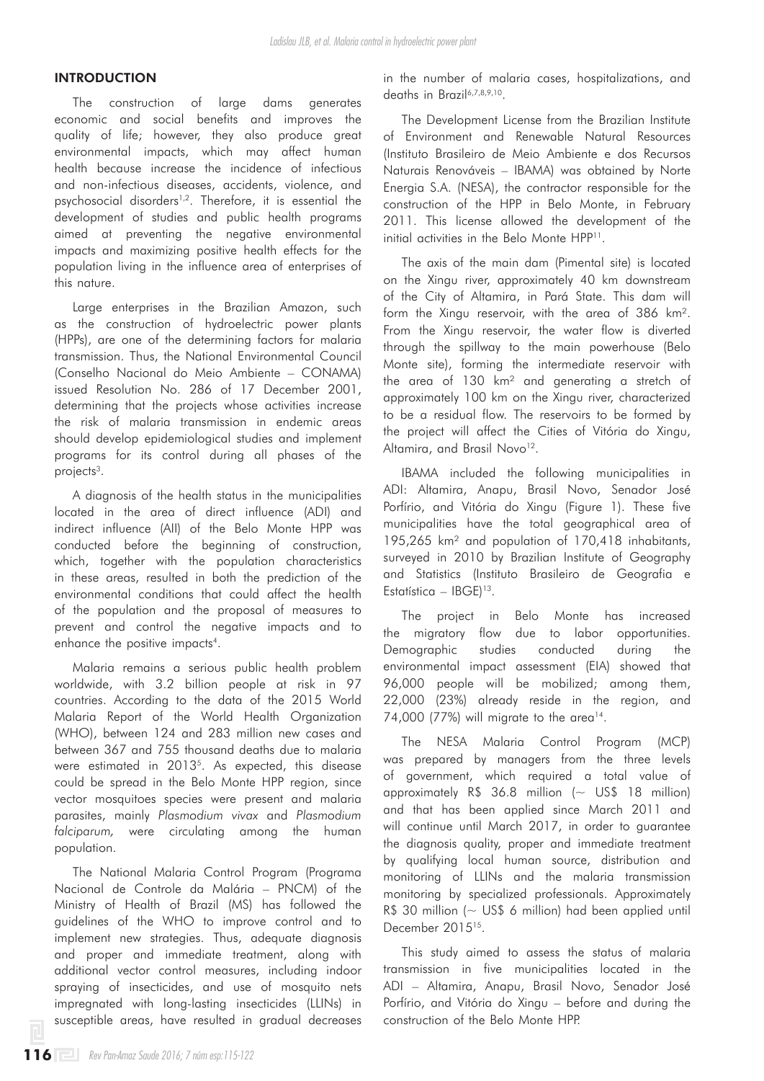#### **INTRODUCTION**

The construction of large dams generates economic and social benefits and improves the quality of life; however, they also produce great environmental impacts, which may affect human health because increase the incidence of infectious and non-infectious diseases, accidents, violence, and psychosocial disorders<sup>1,2</sup>. Therefore, it is essential the development of studies and public health programs aimed at preventing the negative environmental impacts and maximizing positive health effects for the population living in the influence area of enterprises of this nature.

Large enterprises in the Brazilian Amazon, such as the construction of hydroelectric power plants (HPPs), are one of the determining factors for malaria transmission. Thus, the National Environmental Council (Conselho Nacional do Meio Ambiente – CONAMA) issued Resolution No. 286 of 17 December 2001, determining that the projects whose activities increase the risk of malaria transmission in endemic areas should develop epidemiological studies and implement programs for its control during all phases of the projects<sup>3</sup>.

A diagnosis of the health status in the municipalities located in the area of direct influence (ADI) and indirect influence (AII) of the Belo Monte HPP was conducted before the beginning of construction, which, together with the population characteristics in these areas, resulted in both the prediction of the environmental conditions that could affect the health of the population and the proposal of measures to prevent and control the negative impacts and to enhance the positive impacts<sup>4</sup>.

Malaria remains a serious public health problem worldwide, with 3.2 billion people at risk in 97 countries. According to the data of the 2015 World Malaria Report of the World Health Organization (WHO), between 124 and 283 million new cases and between 367 and 755 thousand deaths due to malaria were estimated in 20135. As expected, this disease could be spread in the Belo Monte HPP region, since vector mosquitoes species were present and malaria parasites, mainly *Plasmodium vivax* and *Plasmodium falciparum,* were circulating among the human population.

The National Malaria Control Program (Programa Nacional de Controle da Malária – PNCM) of the Ministry of Health of Brazil (MS) has followed the guidelines of the WHO to improve control and to implement new strategies. Thus, adequate diagnosis and proper and immediate treatment, along with additional vector control measures, including indoor spraying of insecticides, and use of mosquito nets impregnated with long-lasting insecticides (LLINs) in susceptible areas, have resulted in gradual decreases in the number of malaria cases, hospitalizations, and deaths in Brazil<sup>6,7,8,9,10</sup>

The Development License from the Brazilian Institute of Environment and Renewable Natural Resources (Instituto Brasileiro de Meio Ambiente e dos Recursos Naturais Renováveis – IBAMA) was obtained by Norte Energia S.A. (NESA), the contractor responsible for the construction of the HPP in Belo Monte, in February 2011. This license allowed the development of the initial activities in the Belo Monte HPP<sup>11</sup>.

The axis of the main dam (Pimental site) is located on the Xingu river, approximately 40 km downstream of the City of Altamira, in Pará State. This dam will form the Xingu reservoir, with the area of 386 km². From the Xingu reservoir, the water flow is diverted through the spillway to the main powerhouse (Belo Monte site), forming the intermediate reservoir with the area of 130 km² and generating a stretch of approximately 100 km on the Xingu river, characterized to be a residual flow. The reservoirs to be formed by the project will affect the Cities of Vitória do Xingu, Altamira, and Brasil Novo<sup>12</sup>.

IBAMA included the following municipalities in ADI: Altamira, Anapu, Brasil Novo, Senador José Porfírio, and Vitória do Xingu (Figure 1). These five municipalities have the total geographical area of 195,265 km² and population of 170,418 inhabitants, surveyed in 2010 by Brazilian Institute of Geography and Statistics (Instituto Brasileiro de Geografia e Estatística –  $IBGE$ <sup>13</sup>.

The project in Belo Monte has increased the migratory flow due to labor opportunities. Demographic studies conducted during the environmental impact assessment (EIA) showed that 96,000 people will be mobilized; among them, 22,000 (23%) already reside in the region, and 74,000 (77%) will migrate to the area<sup>14</sup>.

The NESA Malaria Control Program (MCP) was prepared by managers from the three levels of government, which required a total value of approximately  $R$$  36.8 million (~ US\$ 18 million) and that has been applied since March 2011 and will continue until March 2017, in order to guarantee the diagnosis quality, proper and immediate treatment by qualifying local human source, distribution and monitoring of LLINs and the malaria transmission monitoring by specialized professionals. Approximately R\$ 30 million ( $\sim$  US\$ 6 million) had been applied until December 2015<sup>15</sup>.

This study aimed to assess the status of malaria transmission in five municipalities located in the ADI – Altamira, Anapu, Brasil Novo, Senador José Porfírio, and Vitória do Xingu – before and during the construction of the Belo Monte HPP.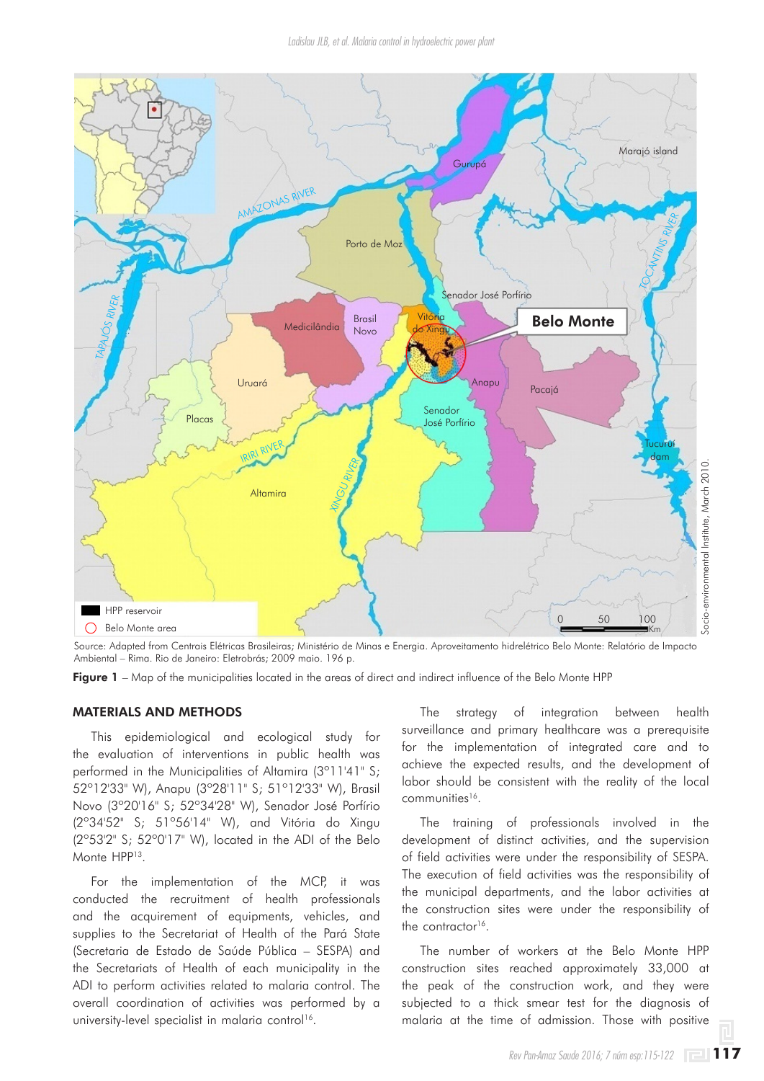

Source: Adapted from Centrais Elétricas Brasileiras; Ministério de Minas e Energia. Aproveitamento hidrelétrico Belo Monte: Relatório de Impacto Ambiental – Rima. Rio de Janeiro: Eletrobrás; 2009 maio. 196 p.

Figure 1 – Map of the municipalities located in the areas of direct and indirect influence of the Belo Monte HPP

#### MATERIALS AND METHODS

This epidemiological and ecological study for the evaluation of interventions in public health was performed in the Municipalities of Altamira (3º11'41" S; 52º12'33" W), Anapu (3º28'11" S; 51º12'33" W), Brasil Novo (3º20'16'' S; 52º34'28" W), Senador José Porfírio (2º34'52" S; 51º56'14" W), and Vitória do Xingu (2º53'2" S; 52º0'17" W), located in the ADI of the Belo Monte HPP13.

For the implementation of the MCP, it was conducted the recruitment of health professionals and the acquirement of equipments, vehicles, and supplies to the Secretariat of Health of the Pará State (Secretaria de Estado de Saúde Pública – SESPA) and the Secretariats of Health of each municipality in the ADI to perform activities related to malaria control. The overall coordination of activities was performed by a university-level specialist in malaria control<sup>16</sup>.

The strategy of integration between health surveillance and primary healthcare was a prerequisite for the implementation of integrated care and to achieve the expected results, and the development of labor should be consistent with the reality of the local communities<sup>16</sup>.

The training of professionals involved in the development of distinct activities, and the supervision of field activities were under the responsibility of SESPA. The execution of field activities was the responsibility of the municipal departments, and the labor activities at the construction sites were under the responsibility of the contractor<sup>16</sup>.

The number of workers at the Belo Monte HPP construction sites reached approximately 33,000 at the peak of the construction work, and they were subjected to a thick smear test for the diagnosis of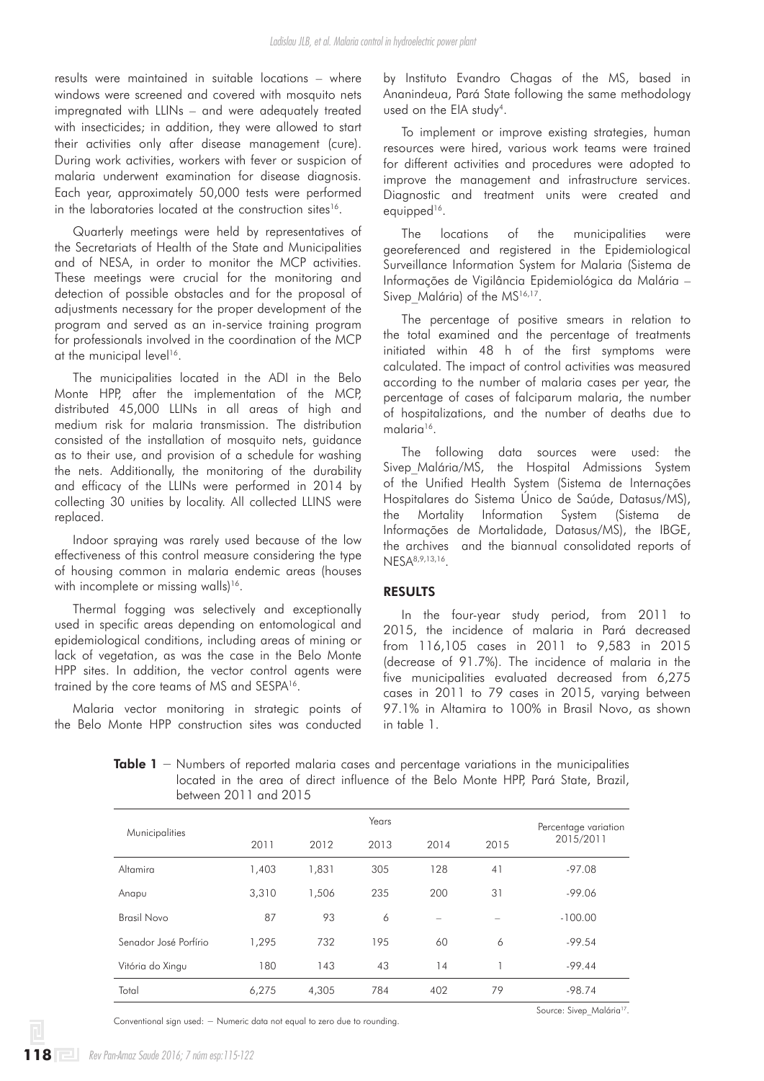results were maintained in suitable locations – where windows were screened and covered with mosquito nets impregnated with LLINs – and were adequately treated with insecticides; in addition, they were allowed to start their activities only after disease management (cure). During work activities, workers with fever or suspicion of malaria underwent examination for disease diagnosis. Each year, approximately 50,000 tests were performed in the laboratories located at the construction sites<sup>16</sup>.

Quarterly meetings were held by representatives of the Secretariats of Health of the State and Municipalities and of NESA, in order to monitor the MCP activities. These meetings were crucial for the monitoring and detection of possible obstacles and for the proposal of adjustments necessary for the proper development of the program and served as an in-service training program for professionals involved in the coordination of the MCP at the municipal level<sup>16</sup>.

The municipalities located in the ADI in the Belo Monte HPP, after the implementation of the MCP, distributed 45,000 LLINs in all areas of high and medium risk for malaria transmission. The distribution consisted of the installation of mosquito nets, guidance as to their use, and provision of a schedule for washing the nets. Additionally, the monitoring of the durability and efficacy of the LLINs were performed in 2014 by collecting 30 unities by locality. All collected LLINS were replaced.

Indoor spraying was rarely used because of the low effectiveness of this control measure considering the type of housing common in malaria endemic areas (houses with incomplete or missing walls)<sup>16</sup>.

Thermal fogging was selectively and exceptionally used in specific areas depending on entomological and epidemiological conditions, including areas of mining or lack of vegetation, as was the case in the Belo Monte HPP sites. In addition, the vector control agents were trained by the core teams of MS and SESPA<sup>16</sup>.

Malaria vector monitoring in strategic points of the Belo Monte HPP construction sites was conducted by Instituto Evandro Chagas of the MS, based in Ananindeua, Pará State following the same methodology used on the EIA study4.

To implement or improve existing strategies, human resources were hired, various work teams were trained for different activities and procedures were adopted to improve the management and infrastructure services. Diagnostic and treatment units were created and equipped<sup>16</sup>.

The locations of the municipalities were georeferenced and registered in the Epidemiological Surveillance Information System for Malaria (Sistema de Informações de Vigilância Epidemiológica da Malária – Sivep Malária) of the MS<sup>16,17</sup>.

The percentage of positive smears in relation to the total examined and the percentage of treatments initiated within 48 h of the first symptoms were calculated. The impact of control activities was measured according to the number of malaria cases per year, the percentage of cases of falciparum malaria, the number of hospitalizations, and the number of deaths due to malaria<sup>16</sup>.

The following data sources were used: the Sivep Malária/MS, the Hospital Admissions System of the Unified Health System (Sistema de Internações Hospitalares do Sistema Único de Saúde, Datasus/MS), the Mortality Information System (Sistema de Informações de Mortalidade, Datasus/MS), the IBGE, the archives and the biannual consolidated reports of NESA8,9,13,16.

#### RESULTS

In the four-year study period, from 2011 to 2015, the incidence of malaria in Pará decreased from 116,105 cases in 2011 to 9,583 in 2015 (decrease of 91.7%). The incidence of malaria in the five municipalities evaluated decreased from 6,275 cases in 2011 to 79 cases in 2015, varying between 97.1% in Altamira to 100% in Brasil Novo, as shown in table 1.

Table 1 − Numbers of reported malaria cases and percentage variations in the municipalities located in the area of direct influence of the Belo Monte HPP, Pará State, Brazil, between 2011 and 2015

|       | Percentage variation |      |       |      |           |
|-------|----------------------|------|-------|------|-----------|
| 2011  | 2012                 | 2013 | 2014  | 2015 | 2015/2011 |
| 1,403 | 1,831                | 305  | 128   | 41   | $-97.08$  |
| 3,310 | 1,506                | 235  | 200   | 31   | $-99.06$  |
| 87    | 93                   | 6    |       |      | $-100.00$ |
| 1.295 | 732                  | 195  | 60    | 6    | $-99.54$  |
| 180   | 143                  | 43   | 14    |      | $-99.44$  |
| 6,275 | 4,305                | 784  | 402   | 79   | $-98.74$  |
|       |                      |      | Years |      |           |

Conventional sign used: − Numeric data not equal to zero due to rounding.

Source: Sivep Malária<sup>17</sup>.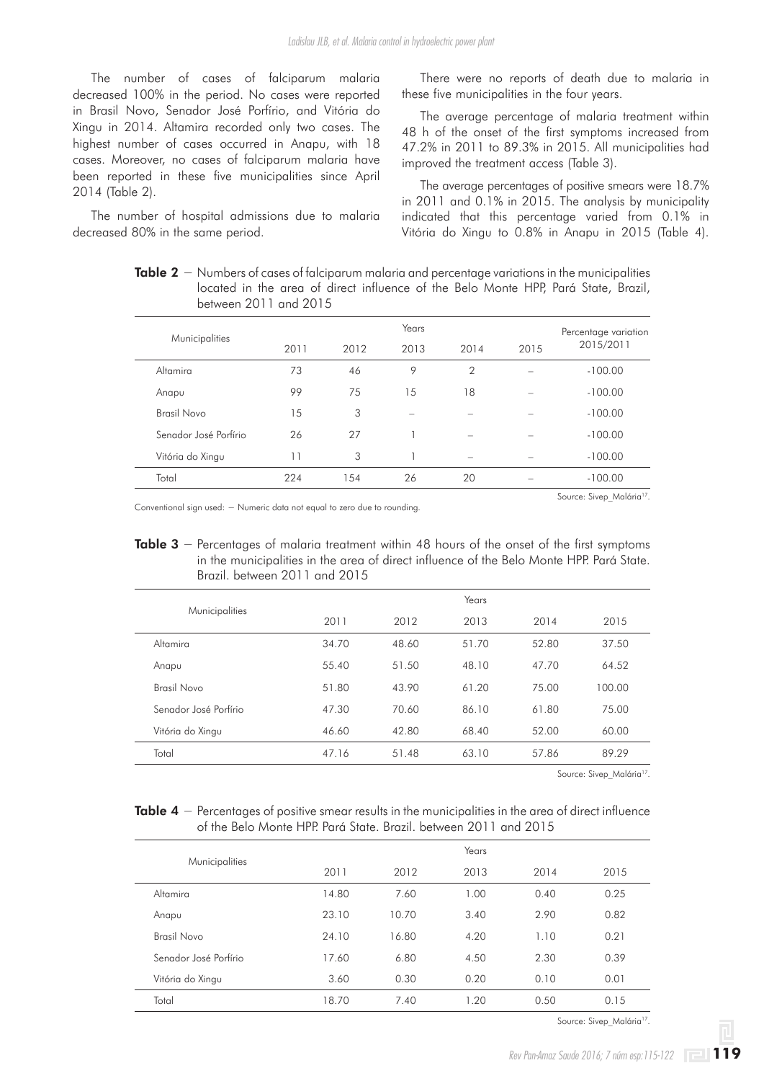The number of cases of falciparum malaria decreased 100% in the period. No cases were reported in Brasil Novo, Senador José Porfírio, and Vitória do Xingu in 2014. Altamira recorded only two cases. The highest number of cases occurred in Anapu, with 18 cases. Moreover, no cases of falciparum malaria have been reported in these five municipalities since April 2014 (Table 2).

The number of hospital admissions due to malaria decreased 80% in the same period.

There were no reports of death due to malaria in these five municipalities in the four years.

The average percentage of malaria treatment within 48 h of the onset of the first symptoms increased from 47.2% in 2011 to 89.3% in 2015. All municipalities had improved the treatment access (Table 3).

The average percentages of positive smears were 18.7% in 2011 and 0.1% in 2015. The analysis by municipality indicated that this percentage varied from 0.1% in Vitória do Xingu to 0.8% in Anapu in 2015 (Table 4).

Table 2 − Numbers of cases of falciparum malaria and percentage variations in the municipalities located in the area of direct influence of the Belo Monte HPP, Pará State, Brazil, between 2011 and 2015

|                       | Years |      |      |                |      | Percentage variation                  |  |
|-----------------------|-------|------|------|----------------|------|---------------------------------------|--|
| <b>Municipalities</b> | 2011  | 2012 | 2013 | 2014           | 2015 | 2015/2011                             |  |
| Altamira              | 73    | 46   | 9    | $\overline{2}$ |      | $-100.00$                             |  |
| Anapu                 | 99    | 75   | 15   | 18             |      | $-100.00$                             |  |
| Brasil Novo           | 15    | 3    |      |                |      | $-100.00$                             |  |
| Senador José Porfírio | 26    | 27   | 1    | -              |      | $-100.00$                             |  |
| Vitória do Xingu      | 11    | 3    | ٦    |                |      | $-100.00$                             |  |
| Total                 | 224   | 154  | 26   | 20             |      | $-100.00$                             |  |
|                       |       |      |      |                |      | Source: Sivep Malária <sup>17</sup> . |  |

Conventional sign used: − Numeric data not equal to zero due to rounding.

Table 3 − Percentages of malaria treatment within 48 hours of the onset of the first symptoms in the municipalities in the area of direct influence of the Belo Monte HPP. Pará State. Brazil. between 2011 and 2015

|                       | Years |       |       |       |        |  |
|-----------------------|-------|-------|-------|-------|--------|--|
| Municipalities        | 2011  | 2012  | 2013  | 2014  | 2015   |  |
| Altamira              | 34.70 | 48.60 | 51.70 | 52.80 | 37.50  |  |
| Anapu                 | 55.40 | 51.50 | 48.10 | 47.70 | 64.52  |  |
| Brasil Novo           | 51.80 | 43.90 | 61.20 | 75.00 | 100.00 |  |
| Senador José Porfírio | 47.30 | 70.60 | 86.10 | 61.80 | 75.00  |  |
| Vitória do Xingu      | 46.60 | 42.80 | 68.40 | 52.00 | 60.00  |  |
| Total                 | 47.16 | 51.48 | 63.10 | 57.86 | 89.29  |  |
|                       |       |       |       |       |        |  |

Source: Sivep\_Malária<sup>17</sup>.

#### Table 4 − Percentages of positive smear results in the municipalities in the area of direct influence of the Belo Monte HPP. Pará State. Brazil. between 2011 and 2015

| Municipalities |                       | Years |       |      |      |      |  |  |
|----------------|-----------------------|-------|-------|------|------|------|--|--|
|                |                       | 2011  | 2012  | 2013 | 2014 | 2015 |  |  |
|                | Altamira              | 14.80 | 7.60  | 1.00 | 0.40 | 0.25 |  |  |
|                | Anapu                 | 23.10 | 10.70 | 3.40 | 2.90 | 0.82 |  |  |
|                | Brasil Novo           | 24.10 | 16.80 | 4.20 | 1.10 | 0.21 |  |  |
|                | Senador José Porfírio | 17.60 | 6.80  | 4.50 | 2.30 | 0.39 |  |  |
|                | Vitória do Xingu      | 3.60  | 0.30  | 0.20 | 0.10 | 0.01 |  |  |
|                | Total                 | 18.70 | 7.40  | 1.20 | 0.50 | 0.15 |  |  |
|                |                       |       |       |      |      |      |  |  |

Source: Sivep Malária<sup>17</sup>.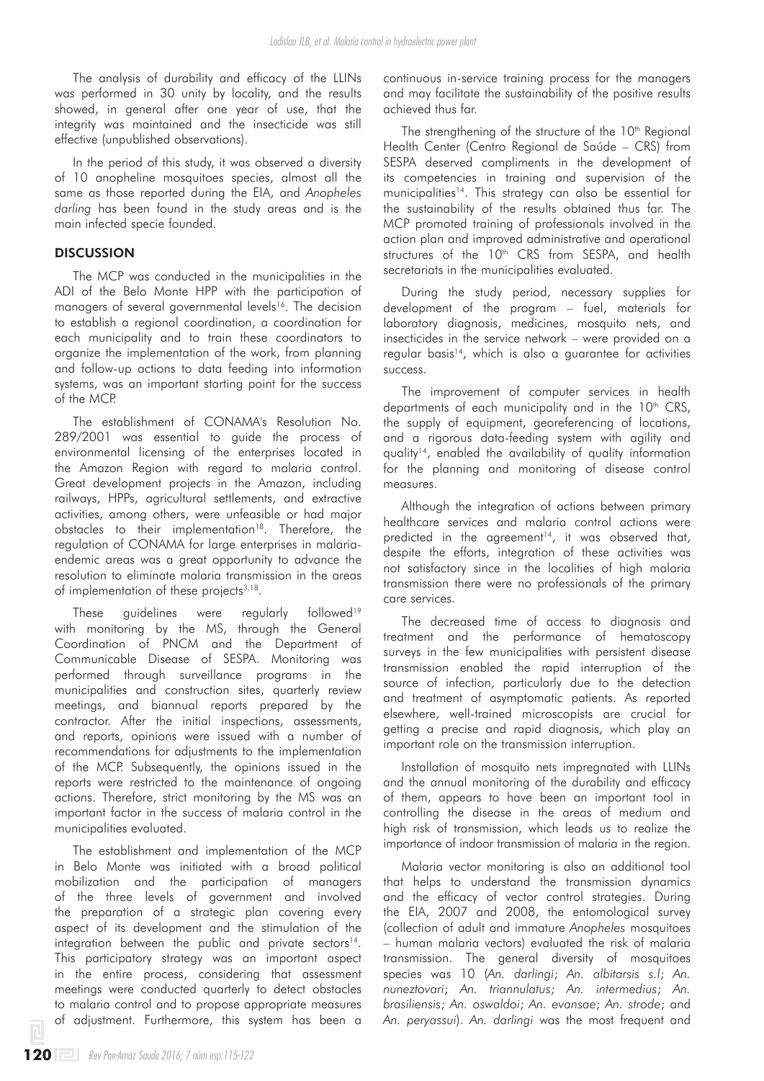The analysis of durability and efficacy of the LLINs was performed in 30 unity by locality, and the results showed, in general after one year of use, that the integrity was maintained and the insecticide was still effective (unpublished observations).

In the period of this study, it was observed a diversity of 10 anopheline mosquitoes species, almost all the same as those reported during the EIA, and *Anopheles darling* has been found in the study areas and is the main infected specie founded.

#### **DISCUSSION**

The MCP was conducted in the municipalities in the ADI of the Belo Monte HPP with the participation of managers of several governmental levels<sup>16</sup>. The decision to establish a regional coordination, a coordination for each municipality and to train these coordinators to organize the implementation of the work, from planning and follow-up actions to data feeding into information systems, was an important starting point for the success of the MCP.

The establishment of CONAMA's Resolution No. 289/2001 was essential to guide the process of environmental licensing of the enterprises located in the Amazon Region with regard to malaria control. Great development projects in the Amazon, including railways, HPPs, agricultural settlements, and extractive activities, among others, were unfeasible or had major obstacles to their implementation<sup>18</sup>. Therefore, the regulation of CONAMA for large enterprises in malariaendemic areas was a great opportunity to advance the resolution to eliminate malaria transmission in the areas of implementation of these projects $3,18$ .

These guidelines were regularly followed<sup>19</sup> with monitoring by the MS, through the General Coordination of PNCM and the Department of Communicable Disease of SESPA. Monitoring was performed through surveillance programs in the municipalities and construction sites, quarterly review meetings, and biannual reports prepared by the contractor. After the initial inspections, assessments, and reports, opinions were issued with a number of recommendations for adjustments to the implementation of the MCP. Subsequently, the opinions issued in the reports were restricted to the maintenance of ongoing actions. Therefore, strict monitoring by the MS was an important factor in the success of malaria control in the municipalities evaluated.

The establishment and implementation of the MCP in Belo Monte was initiated with a broad political mobilization and the participation of managers of the three levels of government and involved the preparation of a strategic plan covering every aspect of its development and the stimulation of the integration between the public and private sectors<sup>14</sup>. This participatory strategy was an important aspect in the entire process, considering that assessment meetings were conducted quarterly to detect obstacles to malaria control and to propose appropriate measures of adjustment. Furthermore, this system has been a

continuous in-service training process for the managers and may facilitate the sustainability of the positive results achieved thus far.

The strengthening of the structure of the 10<sup>th</sup> Regional Health Center (Centro Regional de Saúde – CRS) from SESPA deserved compliments in the development of its competencies in training and supervision of the municipalities<sup>14</sup>. This strategy can also be essential for the sustainability of the results obtained thus far. The MCP promoted training of professionals involved in the action plan and improved administrative and operational structures of the 10<sup>th</sup> CRS from SESPA, and health secretariats in the municipalities evaluated.

During the study period, necessary supplies for development of the program – fuel, materials for laboratory diagnosis, medicines, mosquito nets, and insecticides in the service network – were provided on a  $reqular basis<sup>14</sup>, which is also a guarantee for activities$ success.

The improvement of computer services in health departments of each municipality and in the  $10<sup>th</sup>$  CRS, the supply of equipment, georeferencing of locations, and a rigorous data-feeding system with agility and quality14, enabled the availability of quality information for the planning and monitoring of disease control measures.

Although the integration of actions between primary healthcare services and malaria control actions were predicted in the agreement<sup>14</sup>, it was observed that, despite the efforts, integration of these activities was not satisfactory since in the localities of high malaria transmission there were no professionals of the primary care services.

The decreased time of access to diagnosis and treatment and the performance of hematoscopy surveys in the few municipalities with persistent disease transmission enabled the rapid interruption of the source of infection, particularly due to the detection and treatment of asymptomatic patients. As reported elsewhere, well-trained microscopists are crucial for getting a precise and rapid diagnosis, which play an important role on the transmission interruption.

Installation of mosquito nets impregnated with LLINs and the annual monitoring of the durability and efficacy of them, appears to have been an important tool in controlling the disease in the areas of medium and high risk of transmission, which leads us to realize the importance of indoor transmission of malaria in the region.

Malaria vector monitoring is also an additional tool that helps to understand the transmission dynamics and the efficacy of vector control strategies. During the EIA, 2007 and 2008, the entomological survey (collection of adult and immature *Anopheles* mosquitoes – human malaria vectors) evaluated the risk of malaria transmission. The general diversity of mosquitoes species was 10 (*An. darlingi*; *An. albitarsis s.l*; *An. nuneztovari*; *An. triannulatus*; *An. intermedius*; *An. brasiliensis*; *An. oswaldoi*; *An. evansae*; *An. strode*; and *An. peryassui*). *An. darlingi* was the most frequent and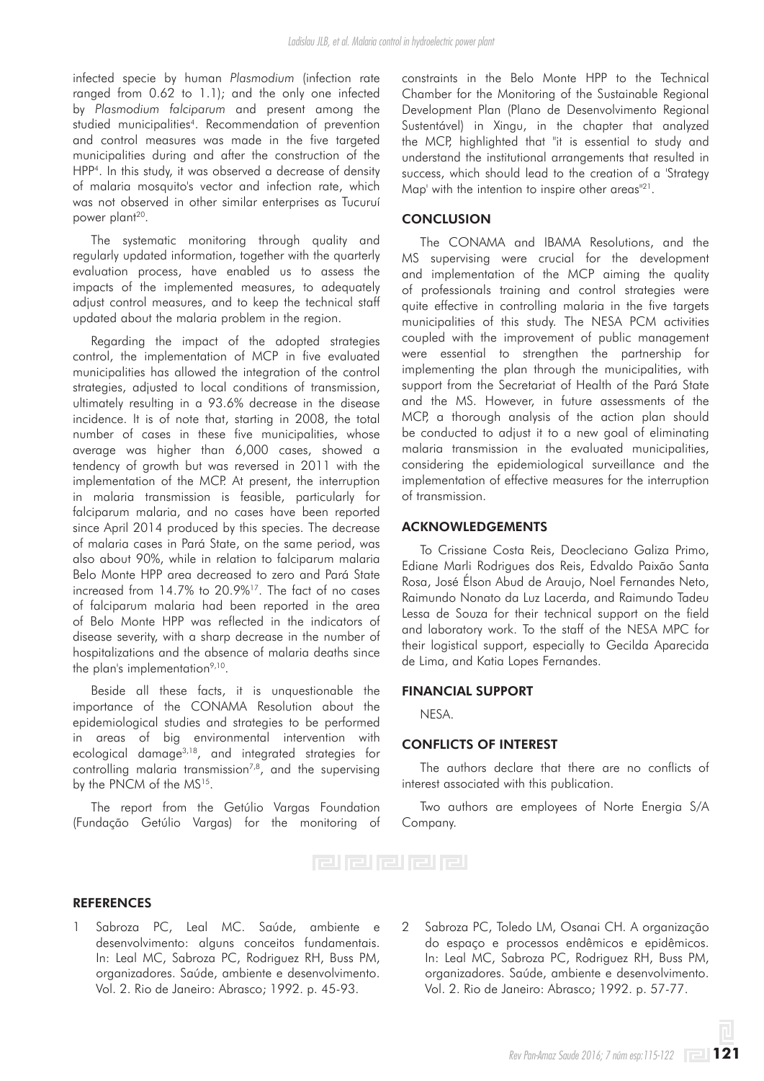infected specie by human *Plasmodium* (infection rate ranged from 0.62 to 1.1); and the only one infected by *Plasmodium falciparum* and present among the studied municipalities<sup>4</sup>. Recommendation of prevention and control measures was made in the five targeted municipalities during and after the construction of the HPP4. In this study, it was observed a decrease of density of malaria mosquito's vector and infection rate, which was not observed in other similar enterprises as Tucuruí power plant<sup>20</sup>.

The systematic monitoring through quality and regularly updated information, together with the quarterly evaluation process, have enabled us to assess the impacts of the implemented measures, to adequately adjust control measures, and to keep the technical staff updated about the malaria problem in the region.

Regarding the impact of the adopted strategies control, the implementation of MCP in five evaluated municipalities has allowed the integration of the control strategies, adjusted to local conditions of transmission, ultimately resulting in a 93.6% decrease in the disease incidence. It is of note that, starting in 2008, the total number of cases in these five municipalities, whose average was higher than 6,000 cases, showed a tendency of growth but was reversed in 2011 with the implementation of the MCP. At present, the interruption in malaria transmission is feasible, particularly for falciparum malaria, and no cases have been reported since April 2014 produced by this species. The decrease of malaria cases in Pará State, on the same period, was also about 90%, while in relation to falciparum malaria Belo Monte HPP area decreased to zero and Pará State increased from 14.7% to 20.9%17. The fact of no cases of falciparum malaria had been reported in the area of Belo Monte HPP was reflected in the indicators of disease severity, with a sharp decrease in the number of hospitalizations and the absence of malaria deaths since the plan's implementation<sup>9,10</sup>.

Beside all these facts, it is unquestionable the importance of the CONAMA Resolution about the epidemiological studies and strategies to be performed in areas of big environmental intervention with ecological damage3,18, and integrated strategies for controlling malaria transmission<sup>7,8</sup>, and the supervising by the PNCM of the MS<sup>15</sup>.

The report from the Getúlio Vargas Foundation (Fundação Getúlio Vargas) for the monitoring of

constraints in the Belo Monte HPP to the Technical Chamber for the Monitoring of the Sustainable Regional Development Plan (Plano de Desenvolvimento Regional Sustentável) in Xingu, in the chapter that analyzed the MCP, highlighted that "it is essential to study and understand the institutional arrangements that resulted in success, which should lead to the creation of a 'Strategy Map' with the intention to inspire other areas<sup>"21</sup>.

#### **CONCLUSION**

The CONAMA and IBAMA Resolutions, and the MS supervising were crucial for the development and implementation of the MCP aiming the quality of professionals training and control strategies were quite effective in controlling malaria in the five targets municipalities of this study. The NESA PCM activities coupled with the improvement of public management were essential to strengthen the partnership for implementing the plan through the municipalities, with support from the Secretariat of Health of the Pará State and the MS. However, in future assessments of the MCP, a thorough analysis of the action plan should be conducted to adjust it to a new goal of eliminating malaria transmission in the evaluated municipalities, considering the epidemiological surveillance and the implementation of effective measures for the interruption of transmission.

#### ACKNOWLEDGEMENTS

To Crissiane Costa Reis, Deocleciano Galiza Primo, Ediane Marli Rodrigues dos Reis, Edvaldo Paixão Santa Rosa, José Élson Abud de Araujo, Noel Fernandes Neto, Raimundo Nonato da Luz Lacerda, and Raimundo Tadeu Lessa de Souza for their technical support on the field and laboratory work. To the staff of the NESA MPC for their logistical support, especially to Gecilda Aparecida de Lima, and Katia Lopes Fernandes.

#### FINANCIAL SUPPORT

**NESA** 

#### CONFLICTS OF INTEREST

The authors declare that there are no conflicts of interest associated with this publication.

Two authors are employees of Norte Energia S/A Company.

#### **REFERENCES**

- 1 Sabroza PC, Leal MC. Saúde, ambiente e desenvolvimento: alguns conceitos fundamentais. In: Leal MC, Sabroza PC, Rodriguez RH, Buss PM, organizadores. Saúde, ambiente e desenvolvimento. Vol. 2. Rio de Janeiro: Abrasco; 1992. p. 45-93.
- 2 Sabroza PC, Toledo LM, Osanai CH. A organização do espaço e processos endêmicos e epidêmicos. In: Leal MC, Sabroza PC, Rodriguez RH, Buss PM, organizadores. Saúde, ambiente e desenvolvimento. Vol. 2. Rio de Janeiro: Abrasco; 1992. p. 57-77.